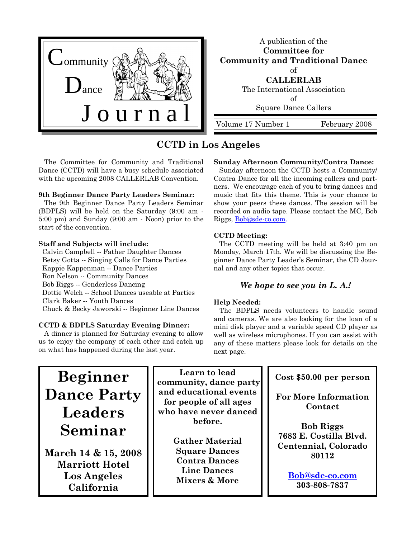

A publication of the **Committee for Community and Traditional Dance**  of **CALLERLAB**  The International Association of Square Dance Callers

Volume 17 Number 1 February 2008

# **CCTD in Los Angeles**

 The Committee for Community and Traditional Dance (CCTD) will have a busy schedule associated with the upcoming 2008 CALLERLAB Convention.

#### **9th Beginner Dance Party Leaders Seminar:**

 The 9th Beginner Dance Party Leaders Seminar (BDPLS) will be held on the Saturday (9:00 am - 5:00 pm) and Sunday (9:00 am - Noon) prior to the start of the convention.

#### **Staff and Subjects will include:**

 Calvin Campbell -- Father Daughter Dances Betsy Gotta -- Singing Calls for Dance Parties Kappie Kappenman -- Dance Parties Ron Nelson -- Community Dances Bob Riggs -- Genderless Dancing Dottie Welch -- School Dances useable at Parties Clark Baker -- Youth Dances Chuck & Becky Jaworski -- Beginner Line Dances

#### **CCTD & BDPLS Saturday Evening Dinner:**

 A dinner is planned for Saturday evening to allow us to enjoy the company of each other and catch up on what has happened during the last year.

#### **Sunday Afternoon Community/Contra Dance:**

 Sunday afternoon the CCTD hosts a Community/ Contra Dance for all the incoming callers and partners. We encourage each of you to bring dances and music that fits this theme. This is your chance to show your peers these dances. The session will be recorded on audio tape. Please contact the MC, Bob Riggs, Bob@sde-co.com.

#### **CCTD Meeting:**

 The CCTD meeting will be held at 3:40 pm on Monday, March 17th. We will be discussing the Beginner Dance Party Leader's Seminar, the CD Journal and any other topics that occur.

#### *We hope to see you in L. A.!*

#### **Help Needed:**

The BDPLS needs volunteers to handle sound and cameras. We are also looking for the loan of a mini disk player and a variable speed CD player as well as wireless microphones. If you can assist with any of these matters please look for details on the next page.

**Beginner Dance Party Leaders Seminar** 

**March 14 & 15, 2008 Marriott Hotel Los Angeles California**

**Learn to lead community, dance party and educational events for people of all ages who have never danced before.** 

> **Gather Material Square Dances Contra Dances Line Dances Mixers & More**

**Cost \$50.00 per person** 

**For More Information Contact** 

**Bob Riggs 7683 E. Costilla Blvd. Centennial, Colorado 80112** 

> **Bob@sde-co.com 303-808-7837**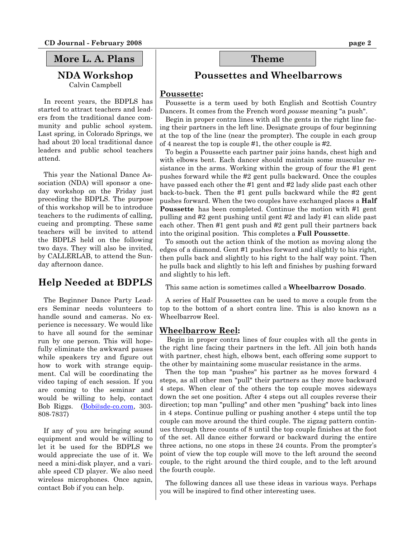### **More L. A. Plans**

## **NDA Workshop**

Calvin Campbell

In recent years, the BDPLS has started to attract teachers and leaders from the traditional dance community and public school system. Last spring, in Colorado Springs, we had about 20 local traditional dance leaders and public school teachers attend.

 This year the National Dance Association (NDA) will sponsor a oneday workshop on the Friday just preceding the BDPLS. The purpose of this workshop will be to introduce teachers to the rudiments of calling, cueing and prompting. These same teachers will be invited to attend the BDPLS held on the following two days. They will also be invited, by CALLERLAB, to attend the Sunday afternoon dance.

## **Help Needed at BDPLS**

 The Beginner Dance Party Leaders Seminar needs volunteers to handle sound and cameras. No experience is necessary. We would like to have all sound for the seminar run by one person. This will hopefully eliminate the awkward pauses while speakers try and figure out how to work with strange equipment. Cal will be coordinating the video taping of each session. If you are coming to the seminar and would be willing to help, contact Bob Riggs. (Bob@sde-co.com, 303- 808-7837)

 If any of you are bringing sound equipment and would be willing to let it be used for the BDPLS we would appreciate the use of it. We need a mini-disk player, and a variable speed CD player. We also need wireless microphones. Once again, contact Bob if you can help.

**Theme** 

## **Poussettes and Wheelbarrows**

#### **Poussette:**

 Poussette is a term used by both English and Scottish Country Dancers. It comes from the French word *pousse* meaning "a push".

 Begin in proper contra lines with all the gents in the right line facing their partners in the left line. Designate groups of four beginning at the top of the line (near the prompter). The couple in each group of 4 nearest the top is couple #1, the other couple is #2.

 To begin a Poussette each partner pair joins hands, chest high and with elbows bent. Each dancer should maintain some muscular resistance in the arms. Working within the group of four the #1 gent pushes forward while the #2 gent pulls backward. Once the couples have passed each other the #1 gent and #2 lady slide past each other back-to-back. Then the #1 gent pulls backward while the #2 gent pushes forward. When the two couples have exchanged places a **Half Poussette** has been completed. Continue the motion with #1 gent pulling and #2 gent pushing until gent #2 and lady #1 can slide past each other. Then #1 gent push and #2 gent pull their partners back into the original position. This completes a **Full Poussette**.

 To smooth out the action think of the motion as moving along the edges of a diamond. Gent #1 pushes forward and slightly to his right, then pulls back and slightly to his right to the half way point. Then he pulls back and slightly to his left and finishes by pushing forward and slightly to his left.

This same action is sometimes called a **Wheelbarrow Dosado**.

 A series of Half Poussettes can be used to move a couple from the top to the bottom of a short contra line. This is also known as a Wheelbarrow Reel.

#### **Wheelbarrow Reel:**

Begin in proper contra lines of four couples with all the gents in the right line facing their partners in the left. All join both hands with partner, chest high, elbows bent, each offering some support to the other by maintaining some muscular resistance in the arms.

 Then the top man "pushes" his partner as he moves forward 4 steps, as all other men "pull" their partners as they move backward 4 steps. When clear of the others the top couple moves sideways down the set one position. After 4 steps out all couples reverse their direction; top man "pulling" and other men "pushing" back into lines in 4 steps. Continue pulling or pushing another 4 steps until the top couple can move around the third couple. The zigzag pattern continues through three counts of 8 until the top couple finishes at the foot of the set. All dance either forward or backward during the entire three actions, no one stops in these 24 counts. From the prompter's point of view the top couple will move to the left around the second couple, to the right around the third couple, and to the left around the fourth couple.

 The following dances all use these ideas in various ways. Perhaps you will be inspired to find other interesting uses.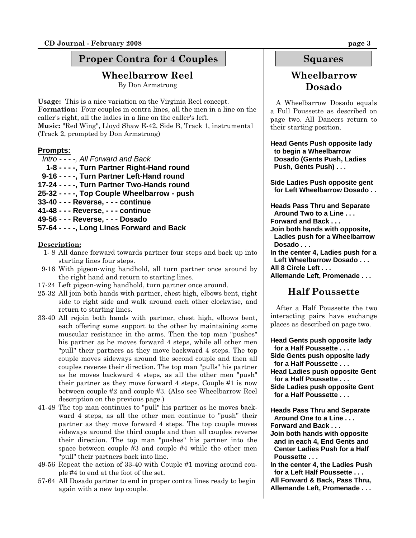## **Proper Contra for 4 Couples Squares**

## **Wheelbarrow Reel**

By Don Armstrong

**Usage:** This is a nice variation on the Virginia Reel concept. **Formation:** Four couples in contra lines, all the men in a line on the caller's right, all the ladies in a line on the caller's left. **Music:** "Red Wing", Lloyd Shaw E-42, Side B, Track 1, instrumental (Track 2, prompted by Don Armstrong)

#### **Prompts:**

- *Intro- - -, All Forward and Back*
- **1-8- - -, Turn Partner Right-Hand round**
- **9-16- - -, Turn Partner Left-Hand round**
- **17-24- - -, Turn Partner Two-Hands round**
- **25-32- - -, Top Couple Wheelbarrow push**
- **33-40- - Reverse, - continue**
- **41-48- - Reverse, - continue**
- **49-56- - Reverse, - Dosado**
- **57-64 - -, Long Lines Forward and Back**

#### **Description:**

- 1- 8 All dance forward towards partner four steps and back up into starting lines four steps.
- 9-16 With pigeon-wing handhold, all turn partner once around by the right hand and return to starting lines.
- 17-24 Left pigeon-wing handhold, turn partner once around.
- 25-32 All join both hands with partner, chest high, elbows bent, right side to right side and walk around each other clockwise, and return to starting lines.
- 33-40 All rejoin both hands with partner, chest high, elbows bent, each offering some support to the other by maintaining some muscular resistance in the arms. Then the top man "pushes" his partner as he moves forward 4 steps, while all other men "pull" their partners as they move backward 4 steps. The top couple moves sideways around the second couple and then all couples reverse their direction. The top man "pulls" his partner as he moves backward 4 steps, as all the other men "push" their partner as they move forward 4 steps. Couple #1 is now between couple #2 and couple #3. (Also see Wheelbarrow Reel description on the previous page.)
- 41-48 The top man continues to "pull" his partner as he moves backward 4 steps, as all the other men continue to "push" their partner as they move forward 4 steps. The top couple moves sideways around the third couple and then all couples reverse their direction. The top man "pushes" his partner into the space between couple #3 and couple #4 while the other men "pull" their partners back into line.
- 49-56 Repeat the action of 33-40 with Couple #1 moving around couple #4 to end at the foot of the set.
- 57-64 All Dosado partner to end in proper contra lines ready to begin again with a new top couple.

## **Wheelbarrow Dosado**

A Wheelbarrow Dosado equals a Full Poussette as described on page two. All Dancers return to their starting position.

**Head Gents Push opposite lady to begin a Wheelbarrow Dosado (Gents Push, Ladies Push, Gents Push) . . .** 

**Side Ladies Push opposite gent for Left Wheelbarrow Dosado . .** 

**Heads Pass Thru and Separate Around Two to a Line . . .** 

**Forward and Back . . .** 

**Join both hands with opposite, Ladies push for a Wheelbarrow Dosado . . .** 

**In the center 4, Ladies push for a Left Wheelbarrow Dosado . . .** 

**All 8 Circle Left . . .** 

**Allemande Left, Promenade . . .** 

## **Half Poussette**

 After a Half Poussette the two interacting pairs have exchange places as described on page two.

**Head Gents push opposite lady for a Half Poussette . . . Side Gents push opposite lady** 

 **for a Half Poussette . . . Head Ladies push opposite Gent for a Half Poussette . . .** 

**Side Ladies push opposite Gent for a Half Poussette . . .** 

**Heads Pass Thru and Separate Around One to a Line . . .** 

- **Forward and Back . . .**
- **Join both hands with opposite and in each 4, End Gents and Center Ladies Push for a Half Poussette . . .**
- **In the center 4, the Ladies Push for a Left Half Poussette . . .**

**All Forward & Back, Pass Thru, Allemande Left, Promenade . . .**